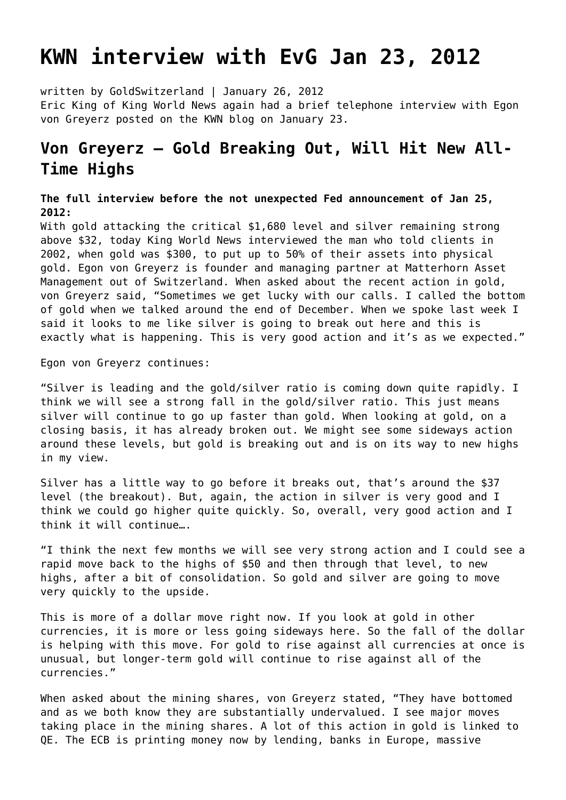## **[KWN interview with EvG Jan 23, 2012](https://goldswitzerland.com/kwn-interview-with-evg-jan-23-2012/)**

written by GoldSwitzerland | January 26, 2012 Eric King of King World News again had a brief telephone interview with Egon von Greyerz posted on the KWN blog on January 23.

## **Von Greyerz – Gold Breaking Out, Will Hit New All-Time Highs**

**The full interview before the not unexpected Fed announcement of Jan 25, 2012:**

With gold attacking the critical \$1,680 level and silver remaining strong above \$32, today King World News interviewed the man who told clients in 2002, when gold was \$300, to put up to 50% of their assets into physical gold. Egon von Greyerz is founder and managing partner at Matterhorn Asset Management out of Switzerland. When asked about the recent action in gold, von Greyerz said, "Sometimes we get lucky with our calls. I called the bottom of gold when we talked around the end of December. When we spoke last week I said it looks to me like silver is going to break out here and this is exactly what is happening. This is very good action and it's as we expected."

Egon von Greyerz continues:

"Silver is leading and the gold/silver ratio is coming down quite rapidly. I think we will see a strong fall in the gold/silver ratio. This just means silver will continue to go up faster than gold. When looking at gold, on a closing basis, it has already broken out. We might see some sideways action around these levels, but gold is breaking out and is on its way to new highs in my view.

Silver has a little way to go before it breaks out, that's around the \$37 level (the breakout). But, again, the action in silver is very good and I think we could go higher quite quickly. So, overall, very good action and I think it will continue….

"I think the next few months we will see very strong action and I could see a rapid move back to the highs of \$50 and then through that level, to new highs, after a bit of consolidation. So gold and silver are going to move very quickly to the upside.

This is more of a dollar move right now. If you look at gold in other currencies, it is more or less going sideways here. So the fall of the dollar is helping with this move. For gold to rise against all currencies at once is unusual, but longer-term gold will continue to rise against all of the currencies."

When asked about the mining shares, von Greyerz stated, "They have bottomed and as we both know they are substantially undervalued. I see major moves taking place in the mining shares. A lot of this action in gold is linked to QE. The ECB is printing money now by lending, banks in Europe, massive